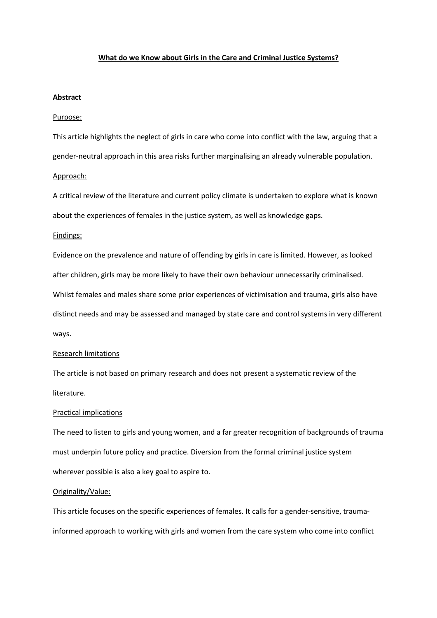## **What do we Know about Girls in the Care and Criminal Justice Systems?**

## **Abstract**

## Purpose:

This article highlights the neglect of girls in care who come into conflict with the law, arguing that a gender-neutral approach in this area risks further marginalising an already vulnerable population. Approach:

A critical review of the literature and current policy climate is undertaken to explore what is known about the experiences of females in the justice system, as well as knowledge gaps.

### Findings:

Evidence on the prevalence and nature of offending by girls in care is limited. However, as looked after children, girls may be more likely to have their own behaviour unnecessarily criminalised. Whilst females and males share some prior experiences of victimisation and trauma, girls also have distinct needs and may be assessed and managed by state care and control systems in very different ways.

#### Research limitations

The article is not based on primary research and does not present a systematic review of the literature.

## Practical implications

The need to listen to girls and young women, and a far greater recognition of backgrounds of trauma must underpin future policy and practice. Diversion from the formal criminal justice system wherever possible is also a key goal to aspire to.

#### Originality/Value:

This article focuses on the specific experiences of females. It calls for a gender-sensitive, traumainformed approach to working with girls and women from the care system who come into conflict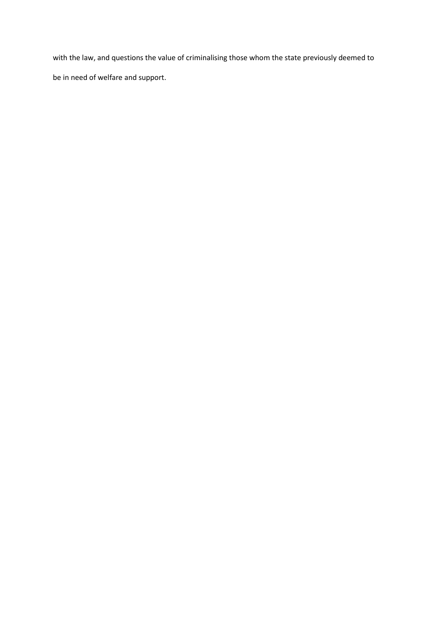with the law, and questions the value of criminalising those whom the state previously deemed to be in need of welfare and support.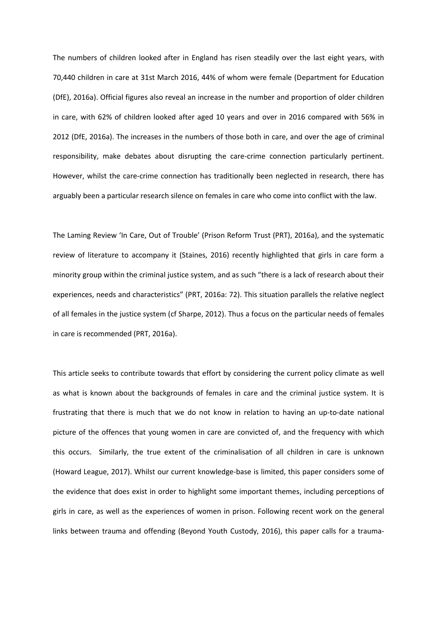The numbers of children looked after in England has risen steadily over the last eight years, with 70,440 children in care at 31st March 2016, 44% of whom were female (Department for Education (DfE), 2016a). Official figures also reveal an increase in the number and proportion of older children in care, with 62% of children looked after aged 10 years and over in 2016 compared with 56% in 2012 (DfE, 2016a). The increases in the numbers of those both in care, and over the age of criminal responsibility, make debates about disrupting the care-crime connection particularly pertinent. However, whilst the care-crime connection has traditionally been neglected in research, there has arguably been a particular research silence on females in care who come into conflict with the law.

The Laming Review 'In Care, Out of Trouble' (Prison Reform Trust (PRT), 2016a), and the systematic review of literature to accompany it (Staines, 2016) recently highlighted that girls in care form a minority group within the criminal justice system, and as such "there is a lack of research about their experiences, needs and characteristics" (PRT, 2016a: 72). This situation parallels the relative neglect of all females in the justice system (cf Sharpe, 2012). Thus a focus on the particular needs of females in care is recommended (PRT, 2016a).

This article seeks to contribute towards that effort by considering the current policy climate as well as what is known about the backgrounds of females in care and the criminal justice system. It is frustrating that there is much that we do not know in relation to having an up-to-date national picture of the offences that young women in care are convicted of, and the frequency with which this occurs. Similarly, the true extent of the criminalisation of all children in care is unknown (Howard League, 2017). Whilst our current knowledge-base is limited, this paper considers some of the evidence that does exist in order to highlight some important themes, including perceptions of girls in care, as well as the experiences of women in prison. Following recent work on the general links between trauma and offending (Beyond Youth Custody, 2016), this paper calls for a trauma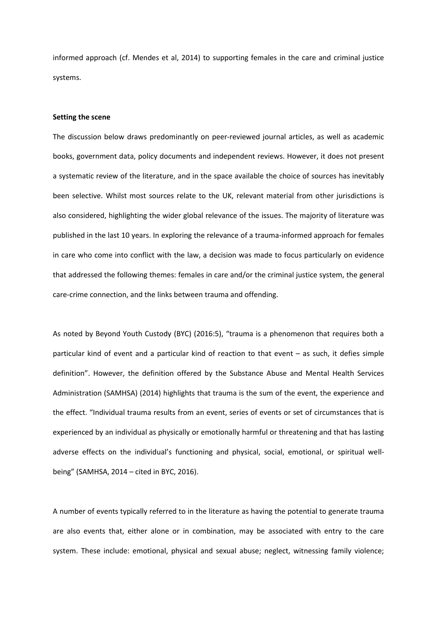informed approach (cf. Mendes et al, 2014) to supporting females in the care and criminal justice systems.

# **Setting the scene**

The discussion below draws predominantly on peer-reviewed journal articles, as well as academic books, government data, policy documents and independent reviews. However, it does not present a systematic review of the literature, and in the space available the choice of sources has inevitably been selective. Whilst most sources relate to the UK, relevant material from other jurisdictions is also considered, highlighting the wider global relevance of the issues. The majority of literature was published in the last 10 years. In exploring the relevance of a trauma-informed approach for females in care who come into conflict with the law, a decision was made to focus particularly on evidence that addressed the following themes: females in care and/or the criminal justice system, the general care-crime connection, and the links between trauma and offending.

As noted by Beyond Youth Custody (BYC) (2016:5), "trauma is a phenomenon that requires both a particular kind of event and a particular kind of reaction to that event – as such, it defies simple definition". However, the definition offered by the Substance Abuse and Mental Health Services Administration (SAMHSA) (2014) highlights that trauma is the sum of the event, the experience and the effect. "Individual trauma results from an event, series of events or set of circumstances that is experienced by an individual as physically or emotionally harmful or threatening and that has lasting adverse effects on the individual's functioning and physical, social, emotional, or spiritual wellbeing" (SAMHSA, 2014 – cited in BYC, 2016).

A number of events typically referred to in the literature as having the potential to generate trauma are also events that, either alone or in combination, may be associated with entry to the care system. These include: emotional, physical and sexual abuse; neglect, witnessing family violence;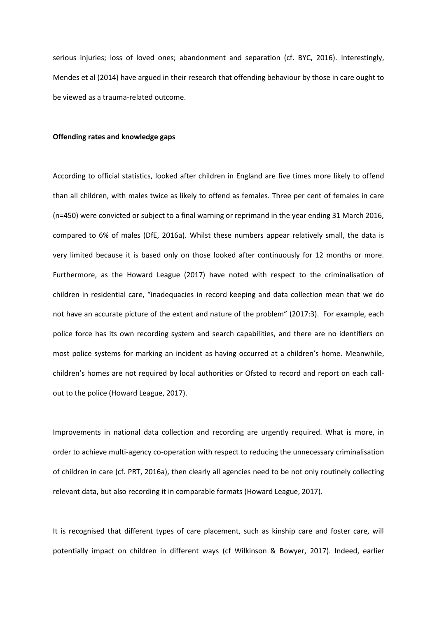serious injuries; loss of loved ones; abandonment and separation (cf. BYC, 2016). Interestingly, Mendes et al (2014) have argued in their research that offending behaviour by those in care ought to be viewed as a trauma-related outcome.

## **Offending rates and knowledge gaps**

According to official statistics, looked after children in England are five times more likely to offend than all children, with males twice as likely to offend as females. Three per cent of females in care (n=450) were convicted or subject to a final warning or reprimand in the year ending 31 March 2016, compared to 6% of males (DfE, 2016a). Whilst these numbers appear relatively small, the data is very limited because it is based only on those looked after continuously for 12 months or more. Furthermore, as the Howard League (2017) have noted with respect to the criminalisation of children in residential care, "inadequacies in record keeping and data collection mean that we do not have an accurate picture of the extent and nature of the problem" (2017:3). For example, each police force has its own recording system and search capabilities, and there are no identifiers on most police systems for marking an incident as having occurred at a children's home. Meanwhile, children's homes are not required by local authorities or Ofsted to record and report on each callout to the police (Howard League, 2017).

Improvements in national data collection and recording are urgently required. What is more, in order to achieve multi-agency co-operation with respect to reducing the unnecessary criminalisation of children in care (cf. PRT, 2016a), then clearly all agencies need to be not only routinely collecting relevant data, but also recording it in comparable formats (Howard League, 2017).

It is recognised that different types of care placement, such as kinship care and foster care, will potentially impact on children in different ways (cf Wilkinson & Bowyer, 2017). Indeed, earlier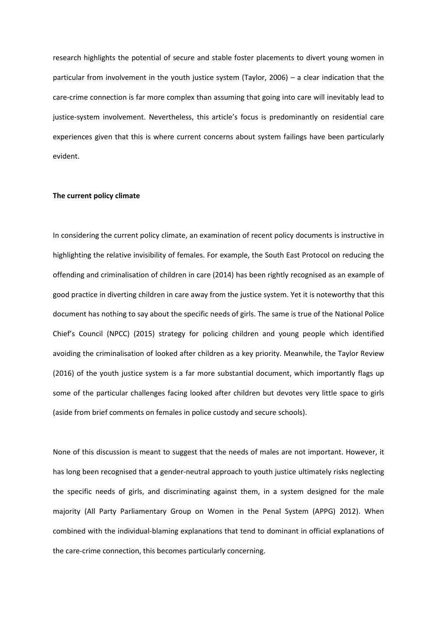research highlights the potential of secure and stable foster placements to divert young women in particular from involvement in the youth justice system (Taylor, 2006) – a clear indication that the care-crime connection is far more complex than assuming that going into care will inevitably lead to justice-system involvement. Nevertheless, this article's focus is predominantly on residential care experiences given that this is where current concerns about system failings have been particularly evident.

# **The current policy climate**

In considering the current policy climate, an examination of recent policy documents is instructive in highlighting the relative invisibility of females. For example, the South East Protocol on reducing the offending and criminalisation of children in care (2014) has been rightly recognised as an example of good practice in diverting children in care away from the justice system. Yet it is noteworthy that this document has nothing to say about the specific needs of girls. The same is true of the National Police Chief's Council (NPCC) (2015) strategy for policing children and young people which identified avoiding the criminalisation of looked after children as a key priority. Meanwhile, the Taylor Review (2016) of the youth justice system is a far more substantial document, which importantly flags up some of the particular challenges facing looked after children but devotes very little space to girls (aside from brief comments on females in police custody and secure schools).

None of this discussion is meant to suggest that the needs of males are not important. However, it has long been recognised that a gender-neutral approach to youth justice ultimately risks neglecting the specific needs of girls, and discriminating against them, in a system designed for the male majority (All Party Parliamentary Group on Women in the Penal System (APPG) 2012). When combined with the individual-blaming explanations that tend to dominant in official explanations of the care-crime connection, this becomes particularly concerning.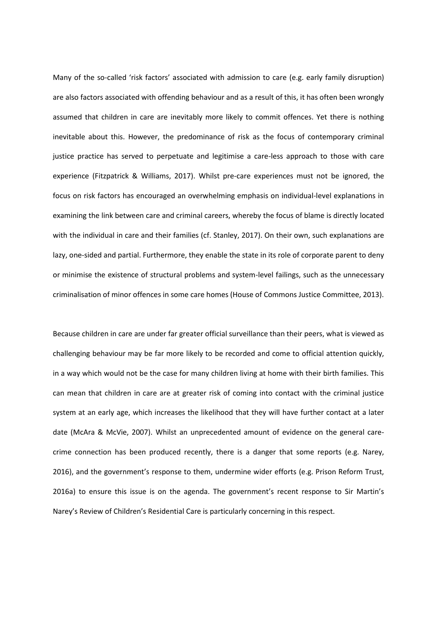Many of the so-called 'risk factors' associated with admission to care (e.g. early family disruption) are also factors associated with offending behaviour and as a result of this, it has often been wrongly assumed that children in care are inevitably more likely to commit offences. Yet there is nothing inevitable about this. However, the predominance of risk as the focus of contemporary criminal justice practice has served to perpetuate and legitimise a care-less approach to those with care experience (Fitzpatrick & Williams, 2017). Whilst pre-care experiences must not be ignored, the focus on risk factors has encouraged an overwhelming emphasis on individual-level explanations in examining the link between care and criminal careers, whereby the focus of blame is directly located with the individual in care and their families (cf. Stanley, 2017). On their own, such explanations are lazy, one-sided and partial. Furthermore, they enable the state in its role of corporate parent to deny or minimise the existence of structural problems and system-level failings, such as the unnecessary criminalisation of minor offences in some care homes (House of Commons Justice Committee, 2013).

Because children in care are under far greater official surveillance than their peers, what is viewed as challenging behaviour may be far more likely to be recorded and come to official attention quickly, in a way which would not be the case for many children living at home with their birth families. This can mean that children in care are at greater risk of coming into contact with the criminal justice system at an early age, which increases the likelihood that they will have further contact at a later date (McAra & McVie, 2007). Whilst an unprecedented amount of evidence on the general carecrime connection has been produced recently, there is a danger that some reports (e.g. Narey, 2016), and the government's response to them, undermine wider efforts (e.g. Prison Reform Trust, 2016a) to ensure this issue is on the agenda. The government's recent response to Sir Martin's Narey's Review of Children's Residential Care is particularly concerning in this respect.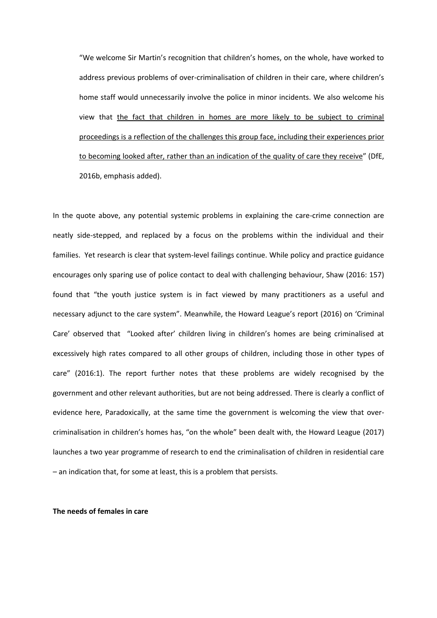"We welcome Sir Martin's recognition that children's homes, on the whole, have worked to address previous problems of over-criminalisation of children in their care, where children's home staff would unnecessarily involve the police in minor incidents. We also welcome his view that the fact that children in homes are more likely to be subject to criminal proceedings is a reflection of the challenges this group face, including their experiences prior to becoming looked after, rather than an indication of the quality of care they receive" (DfE, 2016b, emphasis added).

In the quote above, any potential systemic problems in explaining the care-crime connection are neatly side-stepped, and replaced by a focus on the problems within the individual and their families. Yet research is clear that system-level failings continue. While policy and practice guidance encourages only sparing use of police contact to deal with challenging behaviour, Shaw (2016: 157) found that "the youth justice system is in fact viewed by many practitioners as a useful and necessary adjunct to the care system". Meanwhile, the Howard League's report (2016) on 'Criminal Care' observed that "Looked after' children living in children's homes are being criminalised at excessively high rates compared to all other groups of children, including those in other types of care" (2016:1). The report further notes that these problems are widely recognised by the government and other relevant authorities, but are not being addressed. There is clearly a conflict of evidence here, Paradoxically, at the same time the government is welcoming the view that overcriminalisation in children's homes has, "on the whole" been dealt with, the Howard League (2017) launches a two year programme of research to end the criminalisation of children in residential care – an indication that, for some at least, this is a problem that persists.

## **The needs of females in care**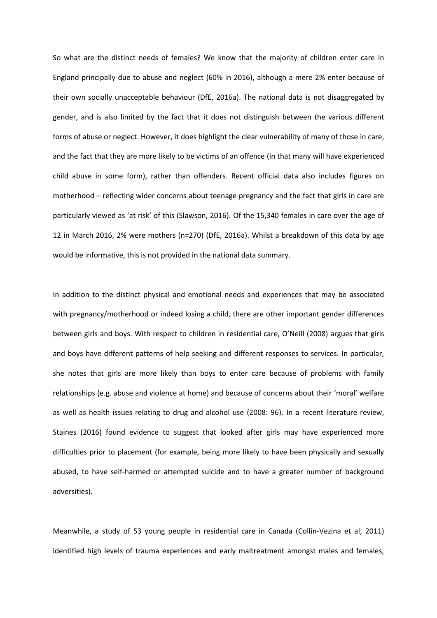So what are the distinct needs of females? We know that the majority of children enter care in England principally due to abuse and neglect (60% in 2016), although a mere 2% enter because of their own socially unacceptable behaviour (DfE, 2016a). The national data is not disaggregated by gender, and is also limited by the fact that it does not distinguish between the various different forms of abuse or neglect. However, it does highlight the clear vulnerability of many of those in care, and the fact that they are more likely to be victims of an offence (in that many will have experienced child abuse in some form), rather than offenders. Recent official data also includes figures on motherhood – reflecting wider concerns about teenage pregnancy and the fact that girls in care are particularly viewed as 'at risk' of this (Slawson, 2016). Of the 15,340 females in care over the age of 12 in March 2016, 2% were mothers (n=270) (DfE, 2016a). Whilst a breakdown of this data by age would be informative, this is not provided in the national data summary.

In addition to the distinct physical and emotional needs and experiences that may be associated with pregnancy/motherhood or indeed losing a child, there are other important gender differences between girls and boys. With respect to children in residential care, O'Neill (2008) argues that girls and boys have different patterns of help seeking and different responses to services. In particular, she notes that girls are more likely than boys to enter care because of problems with family relationships (e.g. abuse and violence at home) and because of concerns about their 'moral' welfare as well as health issues relating to drug and alcohol use (2008: 96). In a recent literature review, Staines (2016) found evidence to suggest that looked after girls may have experienced more difficulties prior to placement (for example, being more likely to have been physically and sexually abused, to have self-harmed or attempted suicide and to have a greater number of background adversities).

Meanwhile, a study of 53 young people in residential care in Canada (Collin-Vezina et al, 2011) identified high levels of trauma experiences and early maltreatment amongst males and females,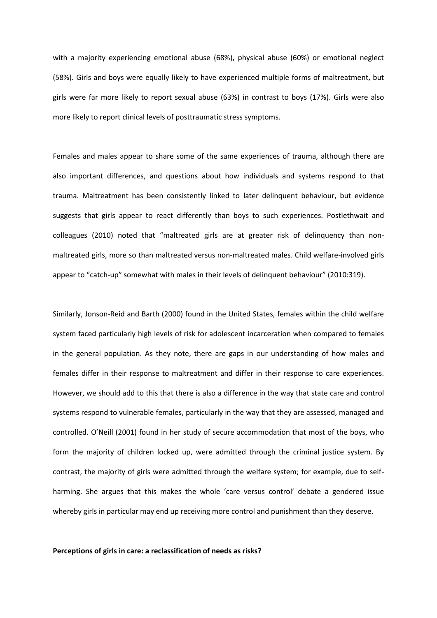with a majority experiencing emotional abuse (68%), physical abuse (60%) or emotional neglect (58%). Girls and boys were equally likely to have experienced multiple forms of maltreatment, but girls were far more likely to report sexual abuse (63%) in contrast to boys (17%). Girls were also more likely to report clinical levels of posttraumatic stress symptoms.

Females and males appear to share some of the same experiences of trauma, although there are also important differences, and questions about how individuals and systems respond to that trauma. Maltreatment has been consistently linked to later delinquent behaviour, but evidence suggests that girls appear to react differently than boys to such experiences. Postlethwait and colleagues (2010) noted that "maltreated girls are at greater risk of delinquency than nonmaltreated girls, more so than maltreated versus non-maltreated males. Child welfare-involved girls appear to "catch-up" somewhat with males in their levels of delinquent behaviour" (2010:319).

Similarly, Jonson-Reid and Barth (2000) found in the United States, females within the child welfare system faced particularly high levels of risk for adolescent incarceration when compared to females in the general population. As they note, there are gaps in our understanding of how males and females differ in their response to maltreatment and differ in their response to care experiences. However, we should add to this that there is also a difference in the way that state care and control systems respond to vulnerable females, particularly in the way that they are assessed, managed and controlled. O'Neill (2001) found in her study of secure accommodation that most of the boys, who form the majority of children locked up, were admitted through the criminal justice system. By contrast, the majority of girls were admitted through the welfare system; for example, due to selfharming. She argues that this makes the whole 'care versus control' debate a gendered issue whereby girls in particular may end up receiving more control and punishment than they deserve.

## **Perceptions of girls in care: a reclassification of needs as risks?**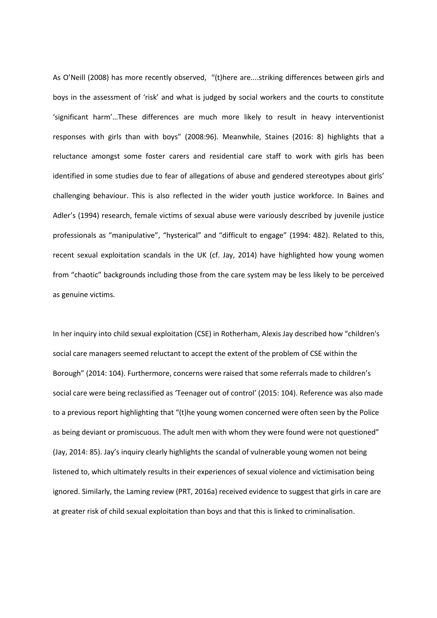As O'Neill (2008) has more recently observed, "(t)here are....striking differences between girls and boys in the assessment of 'risk' and what is judged by social workers and the courts to constitute 'significant harm'…These differences are much more likely to result in heavy interventionist responses with girls than with boys" (2008:96). Meanwhile, Staines (2016: 8) highlights that a reluctance amongst some foster carers and residential care staff to work with girls has been identified in some studies due to fear of allegations of abuse and gendered stereotypes about girls' challenging behaviour. This is also reflected in the wider youth justice workforce. In Baines and Adler's (1994) research, female victims of sexual abuse were variously described by juvenile justice professionals as "manipulative", "hysterical" and "difficult to engage" (1994: 482). Related to this, recent sexual exploitation scandals in the UK (cf. Jay, 2014) have highlighted how young women from "chaotic" backgrounds including those from the care system may be less likely to be perceived as genuine victims.

In her inquiry into child sexual exploitation (CSE) in Rotherham, Alexis Jay described how "children's social care managers seemed reluctant to accept the extent of the problem of CSE within the Borough" (2014: 104). Furthermore, concerns were raised that some referrals made to children's social care were being reclassified as 'Teenager out of control' (2015: 104). Reference was also made to a previous report highlighting that "(t)he young women concerned were often seen by the Police as being deviant or promiscuous. The adult men with whom they were found were not questioned" (Jay, 2014: 85). Jay's inquiry clearly highlights the scandal of vulnerable young women not being listened to, which ultimately results in their experiences of sexual violence and victimisation being ignored. Similarly, the Laming review (PRT, 2016a) received evidence to suggest that girls in care are at greater risk of child sexual exploitation than boys and that this is linked to criminalisation.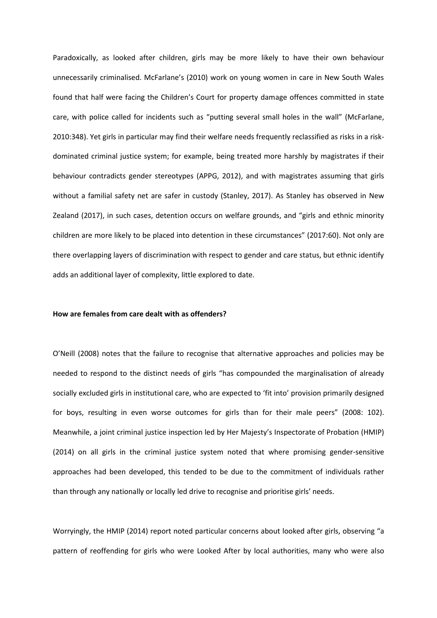Paradoxically, as looked after children, girls may be more likely to have their own behaviour unnecessarily criminalised. McFarlane's (2010) work on young women in care in New South Wales found that half were facing the Children's Court for property damage offences committed in state care, with police called for incidents such as "putting several small holes in the wall" (McFarlane, 2010:348). Yet girls in particular may find their welfare needs frequently reclassified as risks in a riskdominated criminal justice system; for example, being treated more harshly by magistrates if their behaviour contradicts gender stereotypes (APPG, 2012), and with magistrates assuming that girls without a familial safety net are safer in custody (Stanley, 2017). As Stanley has observed in New Zealand (2017), in such cases, detention occurs on welfare grounds, and "girls and ethnic minority children are more likely to be placed into detention in these circumstances" (2017:60). Not only are there overlapping layers of discrimination with respect to gender and care status, but ethnic identify adds an additional layer of complexity, little explored to date.

#### **How are females from care dealt with as offenders?**

O'Neill (2008) notes that the failure to recognise that alternative approaches and policies may be needed to respond to the distinct needs of girls "has compounded the marginalisation of already socially excluded girls in institutional care, who are expected to 'fit into' provision primarily designed for boys, resulting in even worse outcomes for girls than for their male peers" (2008: 102). Meanwhile, a joint criminal justice inspection led by Her Majesty's Inspectorate of Probation (HMIP) (2014) on all girls in the criminal justice system noted that where promising gender-sensitive approaches had been developed, this tended to be due to the commitment of individuals rather than through any nationally or locally led drive to recognise and prioritise girls' needs.

Worryingly, the HMIP (2014) report noted particular concerns about looked after girls, observing "a pattern of reoffending for girls who were Looked After by local authorities, many who were also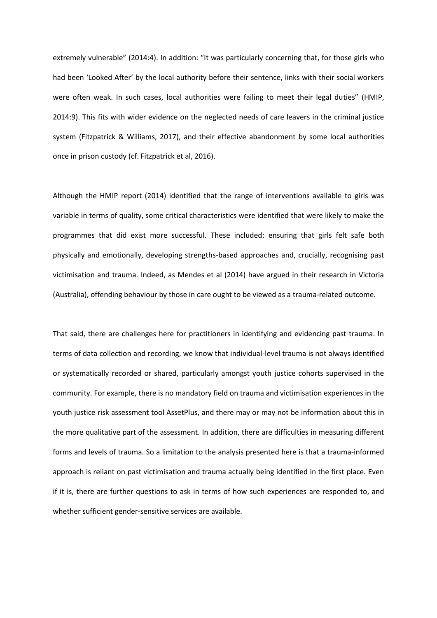extremely vulnerable" (2014:4). In addition: "It was particularly concerning that, for those girls who had been 'Looked After' by the local authority before their sentence, links with their social workers were often weak. In such cases, local authorities were failing to meet their legal duties" (HMIP, 2014:9). This fits with wider evidence on the neglected needs of care leavers in the criminal justice system (Fitzpatrick & Williams, 2017), and their effective abandonment by some local authorities once in prison custody (cf. Fitzpatrick et al, 2016).

Although the HMIP report (2014) identified that the range of interventions available to girls was variable in terms of quality, some critical characteristics were identified that were likely to make the programmes that did exist more successful. These included: ensuring that girls felt safe both physically and emotionally, developing strengths-based approaches and, crucially, recognising past victimisation and trauma. Indeed, as Mendes et al (2014) have argued in their research in Victoria (Australia), offending behaviour by those in care ought to be viewed as a trauma-related outcome.

That said, there are challenges here for practitioners in identifying and evidencing past trauma. In terms of data collection and recording, we know that individual-level trauma is not always identified or systematically recorded or shared, particularly amongst youth justice cohorts supervised in the community. For example, there is no mandatory field on trauma and victimisation experiences in the youth justice risk assessment tool AssetPlus, and there may or may not be information about this in the more qualitative part of the assessment. In addition, there are difficulties in measuring different forms and levels of trauma. So a limitation to the analysis presented here is that a trauma-informed approach is reliant on past victimisation and trauma actually being identified in the first place. Even if it is, there are further questions to ask in terms of how such experiences are responded to, and whether sufficient gender-sensitive services are available.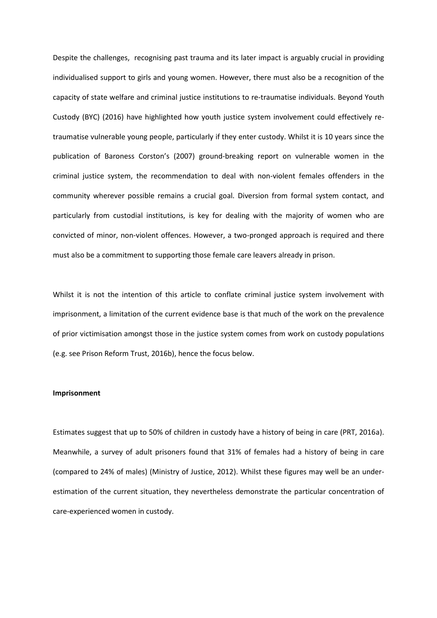Despite the challenges, recognising past trauma and its later impact is arguably crucial in providing individualised support to girls and young women. However, there must also be a recognition of the capacity of state welfare and criminal justice institutions to re-traumatise individuals. Beyond Youth Custody (BYC) (2016) have highlighted how youth justice system involvement could effectively retraumatise vulnerable young people, particularly if they enter custody. Whilst it is 10 years since the publication of Baroness Corston's (2007) ground-breaking report on vulnerable women in the criminal justice system, the recommendation to deal with non-violent females offenders in the community wherever possible remains a crucial goal. Diversion from formal system contact, and particularly from custodial institutions, is key for dealing with the majority of women who are convicted of minor, non-violent offences. However, a two-pronged approach is required and there must also be a commitment to supporting those female care leavers already in prison.

Whilst it is not the intention of this article to conflate criminal justice system involvement with imprisonment, a limitation of the current evidence base is that much of the work on the prevalence of prior victimisation amongst those in the justice system comes from work on custody populations (e.g. see Prison Reform Trust, 2016b), hence the focus below.

#### **Imprisonment**

Estimates suggest that up to 50% of children in custody have a history of being in care (PRT, 2016a). Meanwhile, a survey of adult prisoners found that 31% of females had a history of being in care (compared to 24% of males) (Ministry of Justice, 2012). Whilst these figures may well be an underestimation of the current situation, they nevertheless demonstrate the particular concentration of care-experienced women in custody.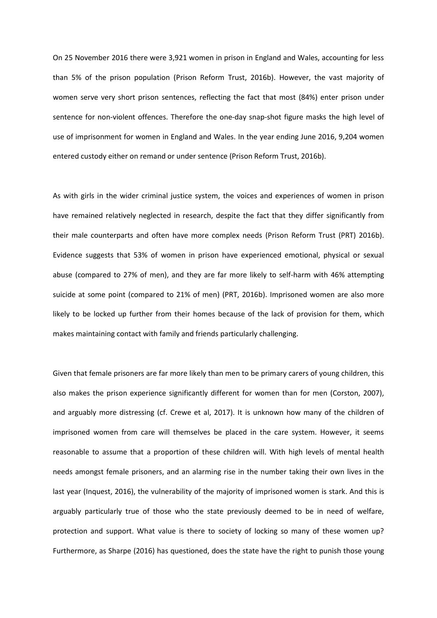On 25 November 2016 there were 3,921 women in prison in England and Wales, accounting for less than 5% of the prison population (Prison Reform Trust, 2016b). However, the vast majority of women serve very short prison sentences, reflecting the fact that most (84%) enter prison under sentence for non-violent offences. Therefore the one-day snap-shot figure masks the high level of use of imprisonment for women in England and Wales. In the year ending June 2016, 9,204 women entered custody either on remand or under sentence (Prison Reform Trust, 2016b).

As with girls in the wider criminal justice system, the voices and experiences of women in prison have remained relatively neglected in research, despite the fact that they differ significantly from their male counterparts and often have more complex needs (Prison Reform Trust (PRT) 2016b). Evidence suggests that 53% of women in prison have experienced emotional, physical or sexual abuse (compared to 27% of men), and they are far more likely to self-harm with 46% attempting suicide at some point (compared to 21% of men) (PRT, 2016b). Imprisoned women are also more likely to be locked up further from their homes because of the lack of provision for them, which makes maintaining contact with family and friends particularly challenging.

Given that female prisoners are far more likely than men to be primary carers of young children, this also makes the prison experience significantly different for women than for men (Corston, 2007), and arguably more distressing (cf. Crewe et al, 2017). It is unknown how many of the children of imprisoned women from care will themselves be placed in the care system. However, it seems reasonable to assume that a proportion of these children will. With high levels of mental health needs amongst female prisoners, and an alarming rise in the number taking their own lives in the last year (Inquest, 2016), the vulnerability of the majority of imprisoned women is stark. And this is arguably particularly true of those who the state previously deemed to be in need of welfare, protection and support. What value is there to society of locking so many of these women up? Furthermore, as Sharpe (2016) has questioned, does the state have the right to punish those young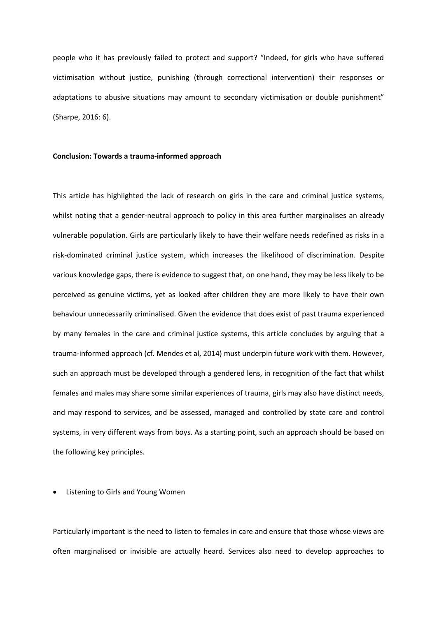people who it has previously failed to protect and support? "Indeed, for girls who have suffered victimisation without justice, punishing (through correctional intervention) their responses or adaptations to abusive situations may amount to secondary victimisation or double punishment" (Sharpe, 2016: 6).

# **Conclusion: Towards a trauma-informed approach**

This article has highlighted the lack of research on girls in the care and criminal justice systems, whilst noting that a gender-neutral approach to policy in this area further marginalises an already vulnerable population. Girls are particularly likely to have their welfare needs redefined as risks in a risk-dominated criminal justice system, which increases the likelihood of discrimination. Despite various knowledge gaps, there is evidence to suggest that, on one hand, they may be less likely to be perceived as genuine victims, yet as looked after children they are more likely to have their own behaviour unnecessarily criminalised. Given the evidence that does exist of past trauma experienced by many females in the care and criminal justice systems, this article concludes by arguing that a trauma-informed approach (cf. Mendes et al, 2014) must underpin future work with them. However, such an approach must be developed through a gendered lens, in recognition of the fact that whilst females and males may share some similar experiences of trauma, girls may also have distinct needs, and may respond to services, and be assessed, managed and controlled by state care and control systems, in very different ways from boys. As a starting point, such an approach should be based on the following key principles.

Listening to Girls and Young Women

Particularly important is the need to listen to females in care and ensure that those whose views are often marginalised or invisible are actually heard. Services also need to develop approaches to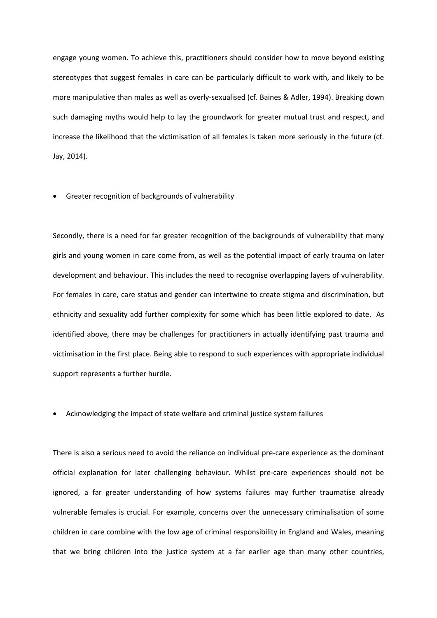engage young women. To achieve this, practitioners should consider how to move beyond existing stereotypes that suggest females in care can be particularly difficult to work with, and likely to be more manipulative than males as well as overly-sexualised (cf. Baines & Adler, 1994). Breaking down such damaging myths would help to lay the groundwork for greater mutual trust and respect, and increase the likelihood that the victimisation of all females is taken more seriously in the future (cf. Jay, 2014).

# Greater recognition of backgrounds of vulnerability

Secondly, there is a need for far greater recognition of the backgrounds of vulnerability that many girls and young women in care come from, as well as the potential impact of early trauma on later development and behaviour. This includes the need to recognise overlapping layers of vulnerability. For females in care, care status and gender can intertwine to create stigma and discrimination, but ethnicity and sexuality add further complexity for some which has been little explored to date. As identified above, there may be challenges for practitioners in actually identifying past trauma and victimisation in the first place. Being able to respond to such experiences with appropriate individual support represents a further hurdle.

# Acknowledging the impact of state welfare and criminal justice system failures

There is also a serious need to avoid the reliance on individual pre-care experience as the dominant official explanation for later challenging behaviour. Whilst pre-care experiences should not be ignored, a far greater understanding of how systems failures may further traumatise already vulnerable females is crucial. For example, concerns over the unnecessary criminalisation of some children in care combine with the low age of criminal responsibility in England and Wales, meaning that we bring children into the justice system at a far earlier age than many other countries,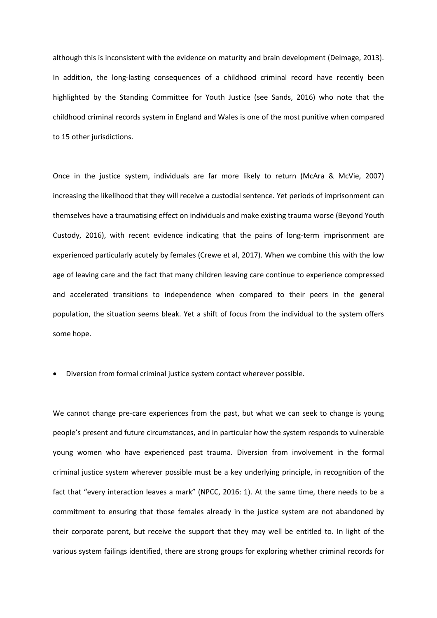although this is inconsistent with the evidence on maturity and brain development (Delmage, 2013). In addition, the long-lasting consequences of a childhood criminal record have recently been highlighted by the Standing Committee for Youth Justice (see Sands, 2016) who note that the childhood criminal records system in England and Wales is one of the most punitive when compared to 15 other jurisdictions.

Once in the justice system, individuals are far more likely to return (McAra & McVie, 2007) increasing the likelihood that they will receive a custodial sentence. Yet periods of imprisonment can themselves have a traumatising effect on individuals and make existing trauma worse (Beyond Youth Custody, 2016), with recent evidence indicating that the pains of long-term imprisonment are experienced particularly acutely by females (Crewe et al, 2017). When we combine this with the low age of leaving care and the fact that many children leaving care continue to experience compressed and accelerated transitions to independence when compared to their peers in the general population, the situation seems bleak. Yet a shift of focus from the individual to the system offers some hope.

Diversion from formal criminal justice system contact wherever possible.

We cannot change pre-care experiences from the past, but what we can seek to change is young people's present and future circumstances, and in particular how the system responds to vulnerable young women who have experienced past trauma. Diversion from involvement in the formal criminal justice system wherever possible must be a key underlying principle, in recognition of the fact that "every interaction leaves a mark" (NPCC, 2016: 1). At the same time, there needs to be a commitment to ensuring that those females already in the justice system are not abandoned by their corporate parent, but receive the support that they may well be entitled to. In light of the various system failings identified, there are strong groups for exploring whether criminal records for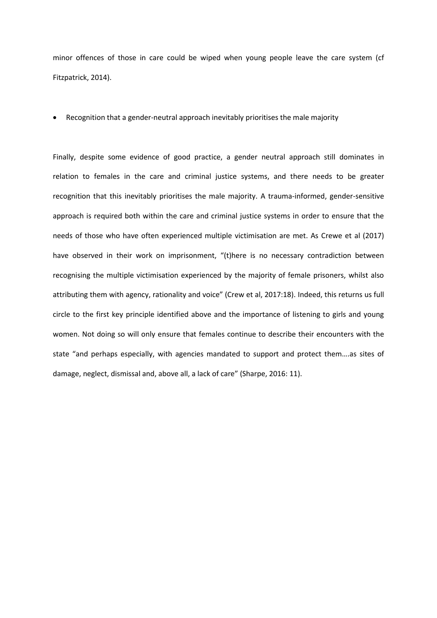minor offences of those in care could be wiped when young people leave the care system (cf Fitzpatrick, 2014).

Recognition that a gender-neutral approach inevitably prioritises the male majority

Finally, despite some evidence of good practice, a gender neutral approach still dominates in relation to females in the care and criminal justice systems, and there needs to be greater recognition that this inevitably prioritises the male majority. A trauma-informed, gender-sensitive approach is required both within the care and criminal justice systems in order to ensure that the needs of those who have often experienced multiple victimisation are met. As Crewe et al (2017) have observed in their work on imprisonment, "(t)here is no necessary contradiction between recognising the multiple victimisation experienced by the majority of female prisoners, whilst also attributing them with agency, rationality and voice" (Crew et al, 2017:18). Indeed, this returns us full circle to the first key principle identified above and the importance of listening to girls and young women. Not doing so will only ensure that females continue to describe their encounters with the state "and perhaps especially, with agencies mandated to support and protect them….as sites of damage, neglect, dismissal and, above all, a lack of care" (Sharpe, 2016: 11).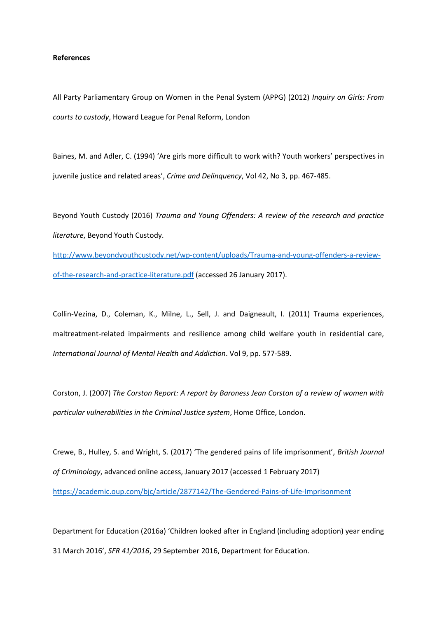## **References**

All Party Parliamentary Group on Women in the Penal System (APPG) (2012) *Inquiry on Girls: From courts to custody*, Howard League for Penal Reform, London

Baines, M. and Adler, C. (1994) 'Are girls more difficult to work with? Youth workers' perspectives in juvenile justice and related areas', *Crime and Delinquency*, Vol 42, No 3, pp. 467-485.

Beyond Youth Custody (2016) *Trauma and Young Offenders: A review of the research and practice literature*, Beyond Youth Custody.

[http://www.beyondyouthcustody.net/wp-content/uploads/Trauma-and-young-offenders-a-review](http://www.beyondyouthcustody.net/wp-content/uploads/Trauma-and-young-offenders-a-review-of-the-research-and-practice-literature.pdf)[of-the-research-and-practice-literature.pdf](http://www.beyondyouthcustody.net/wp-content/uploads/Trauma-and-young-offenders-a-review-of-the-research-and-practice-literature.pdf) (accessed 26 January 2017).

Collin-Vezina, D., Coleman, K., Milne, L., Sell, J. and Daigneault, I. (2011) Trauma experiences, maltreatment-related impairments and resilience among child welfare youth in residential care, *International Journal of Mental Health and Addiction*. Vol 9, pp. 577-589.

Corston, J. (2007) *The Corston Report: A report by Baroness Jean Corston of a review of women with particular vulnerabilities in the Criminal Justice system*, Home Office, London.

Crewe, B., Hulley, S. and Wright, S. (2017) 'The gendered pains of life imprisonment', *British Journal of Criminology*, advanced online access, January 2017 (accessed 1 February 2017) <https://academic.oup.com/bjc/article/2877142/The-Gendered-Pains-of-Life-Imprisonment>

Department for Education (2016a) 'Children looked after in England (including adoption) year ending 31 March 2016', *SFR 41/2016*, 29 September 2016, Department for Education.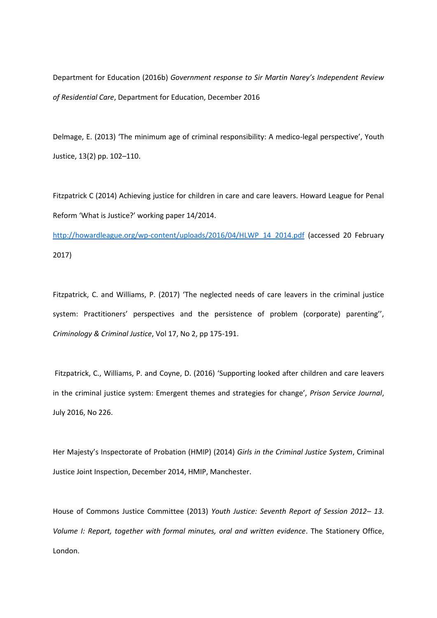Department for Education (2016b) *Government response to Sir Martin Narey's Independent Review of Residential Care*, Department for Education, December 2016

Delmage, E. (2013) 'The minimum age of criminal responsibility: A medico-legal perspective', Youth Justice, 13(2) pp. 102–110.

Fitzpatrick C (2014) Achieving justice for children in care and care leavers. Howard League for Penal Reform 'What is Justice?' working paper 14/2014.

[http://howardleague.org/wp-content/uploads/2016/04/HLWP\\_14\\_2014.pdf](http://howardleague.org/wp-content/uploads/2016/04/HLWP_14_2014.pdf) (accessed 20 February 2017)

Fitzpatrick, C. and Williams, P. (2017) 'The neglected needs of care leavers in the criminal justice system: Practitioners' perspectives and the persistence of problem (corporate) parenting'', *Criminology & Criminal Justice*, Vol 17, No 2, pp 175-191.

Fitzpatrick, C., Williams, P. and Coyne, D. (2016) 'Supporting looked after children and care leavers in the criminal justice system: Emergent themes and strategies for change', *Prison Service Journal*, July 2016, No 226.

Her Majesty's Inspectorate of Probation (HMIP) (2014) *Girls in the Criminal Justice System*, Criminal Justice Joint Inspection, December 2014, HMIP, Manchester.

House of Commons Justice Committee (2013) *Youth Justice: Seventh Report of Session 2012– 13. Volume I: Report, together with formal minutes, oral and written evidence*. The Stationery Office, London.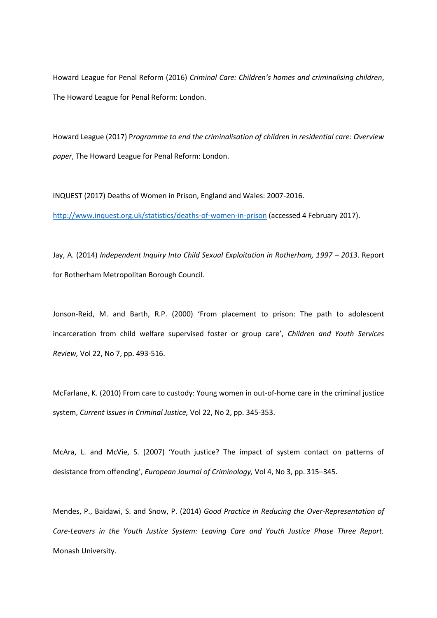Howard League for Penal Reform (2016) *Criminal Care: Children's homes and criminalising children*, The Howard League for Penal Reform: London.

Howard League (2017) P*rogramme to end the criminalisation of children in residential care: Overview paper*, The Howard League for Penal Reform: London.

INQUEST (2017) Deaths of Women in Prison, England and Wales: 2007-2016. <http://www.inquest.org.uk/statistics/deaths-of-women-in-prison> (accessed 4 February 2017).

Jay, A. (2014) *Independent Inquiry Into Child Sexual Exploitation in Rotherham, 1997 – 2013. Report* for Rotherham Metropolitan Borough Council.

Jonson-Reid, M. and Barth, R.P. (2000) 'From placement to prison: The path to adolescent incarceration from child welfare supervised foster or group care', *Children and Youth Services Review,* Vol 22, No 7, pp. 493-516.

McFarlane, K. (2010) From care to custody: Young women in out-of-home care in the criminal justice system, *Current Issues in Criminal Justice,* Vol 22, No 2, pp. 345-353.

McAra, L. and McVie, S. (2007) 'Youth justice? The impact of system contact on patterns of desistance from offending', *European Journal of Criminology,* Vol 4, No 3, pp. 315–345.

Mendes, P., Baidawi, S. and Snow, P. (2014) *Good Practice in Reducing the Over-Representation of Care-Leavers in the Youth Justice System: Leaving Care and Youth Justice Phase Three Report.* Monash University.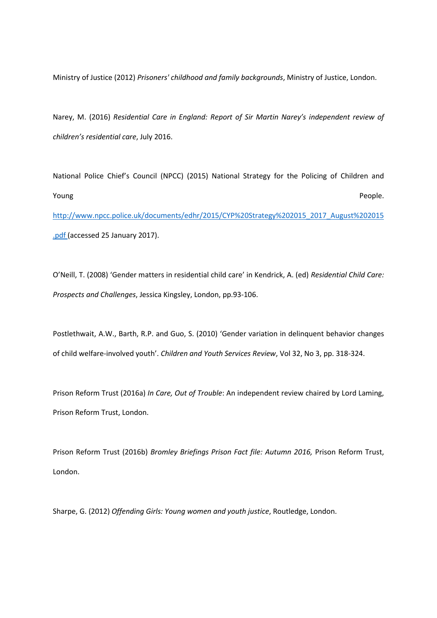Ministry of Justice (2012) *Prisoners' childhood and family backgrounds*, Ministry of Justice, London.

Narey, M. (2016) *Residential Care in England: Report of Sir Martin Narey's independent review of children's residential care*, July 2016.

National Police Chief's Council (NPCC) (2015) National Strategy for the Policing of Children and **The Voung Contract of the Contract of Contract Contract of Contract Contract Contract Contract Contract Contract Contract Contract Contract Contract Contract Contract Contract Contract Contract Contract Contract Contract** [http://www.npcc.police.uk/documents/edhr/2015/CYP%20Strategy%202015\\_2017\\_August%202015](http://www.npcc.police.uk/documents/edhr/2015/CYP%20Strategy%202015_2017_August%202015.pdf) [.pdf](http://www.npcc.police.uk/documents/edhr/2015/CYP%20Strategy%202015_2017_August%202015.pdf) (accessed 25 January 2017).

O'Neill, T. (2008) 'Gender matters in residential child care' in Kendrick, A. (ed) *Residential Child Care: Prospects and Challenges*, Jessica Kingsley, London, pp.93-106.

Postlethwait, A.W., Barth, R.P. and Guo, S. (2010) 'Gender variation in delinquent behavior changes of child welfare-involved youth'. *Children and Youth Services Review*, Vol 32, No 3, pp. 318-324.

Prison Reform Trust (2016a) *In Care, Out of Trouble*: An independent review chaired by Lord Laming, Prison Reform Trust, London.

Prison Reform Trust (2016b) *Bromley Briefings Prison Fact file: Autumn 2016,* Prison Reform Trust, London.

Sharpe, G. (2012) *Offending Girls: Young women and youth justice*, Routledge, London.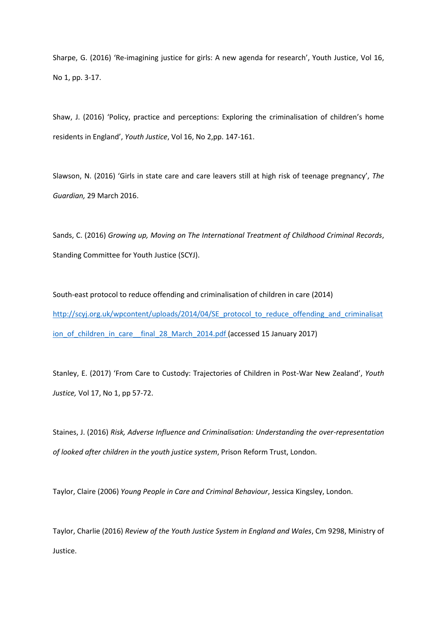Sharpe, G. (2016) 'Re-imagining justice for girls: A new agenda for research', Youth Justice, Vol 16, No 1, pp. 3-17.

Shaw, J. (2016) 'Policy, practice and perceptions: Exploring the criminalisation of children's home residents in England', *Youth Justice*, Vol 16, No 2,pp. 147-161.

Slawson, N. (2016) 'Girls in state care and care leavers still at high risk of teenage pregnancy', *The Guardian,* 29 March 2016.

Sands, C. (2016) *Growing up, Moving on The International Treatment of Childhood Criminal Records*, Standing Committee for Youth Justice (SCYJ).

South-east protocol to reduce offending and criminalisation of children in care (2014) [http://scyj.org.uk/wpcontent/uploads/2014/04/SE\\_protocol\\_to\\_reduce\\_offending\\_and\\_criminalisat](http://scyj.org.uk/wpcontent/uploads/2014/04/SE_protocol_to_reduce_offending_and_criminalisation_of_children_in_care__final_28_March_2014.pdf) ion of children in care final 28 March 2014.pdf (accessed 15 January 2017)

Stanley, E. (2017) 'From Care to Custody: Trajectories of Children in Post-War New Zealand', *Youth Justice,* Vol 17, No 1, pp 57-72.

Staines, J. (2016) *Risk, Adverse Influence and Criminalisation: Understanding the over-representation of looked after children in the youth justice system*, Prison Reform Trust, London.

Taylor, Claire (2006) *Young People in Care and Criminal Behaviour*, Jessica Kingsley, London.

Taylor, Charlie (2016) *Review of the Youth Justice System in England and Wales*, Cm 9298, Ministry of Justice.